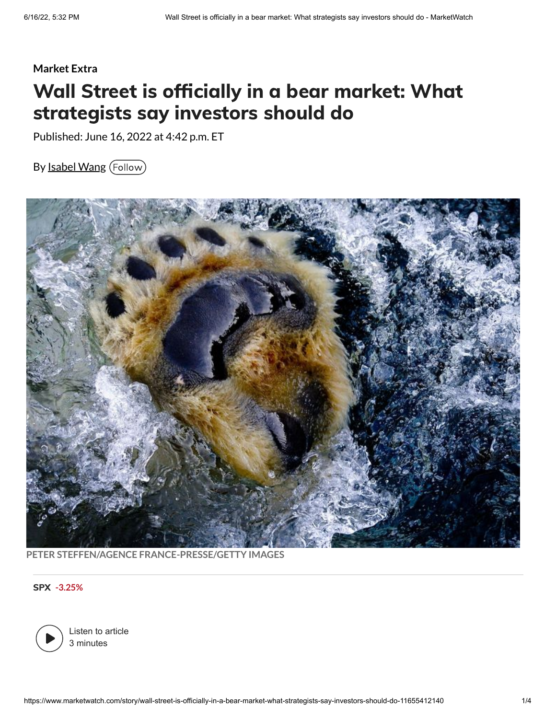## **Market Extra** Wall Street is officially in a bear market: What strategists say investors should do

Published: June 16, 2022 at 4:42 p.m. ET

By [Isabel](https://www.marketwatch.com/topics/journalists/isabel-wang) Wang (Follow)



**PETER STEFFEN/AGENCE FRANCE-PRESSE/GETTY IMAGES**

SPX **[-3.25%](https://www.marketwatch.com/investing/index/SPX?mod=refsymb_mw)**



Listen to article 3 minutes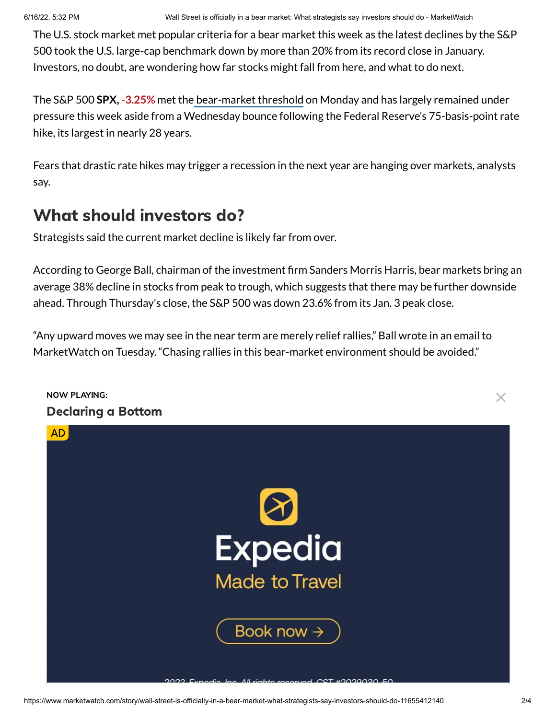The U.S. stock market met popular criteria for a bear market this week as the latest declines by the S&P 500 took the U.S. large-cap benchmark down by more than 20% from its record close in January. Investors, no doubt, are wondering how far stocks might fall from here, and what to do next.

The S&P 500 **SPX, [-3.25%](https://www.marketwatch.com/investing/index/SPX?mod=MW_story_quote)** met the [bear-market](https://www.marketwatch.com/amp/story/what-is-a-bear-market-s-p-500-slides-more-than-20-from-peak-confirming-the-end-of-its-pandemic-bull-run-11655159922) threshold on Monday and has largely remained under pressure this week aside from a Wednesday bounce following the Federal Reserve's 75-basis-point rate hike, its largest in nearly 28 years.

Fears that drastic rate hikes may trigger a recession in the next year are hanging over markets, analysts say.

## What should investors do?

Strategists said the current market decline is likely far from over.

According to George Ball, chairman of the investment firm Sanders Morris Harris, bear markets bring an average 38% decline in stocks from peak to trough, which suggests that there may be further downside ahead. Through Thursday's close, the S&P 500 was down 23.6% from its Jan. 3 peak close.

"Any upward moves we may see in the near term are merely relief rallies," Ball wrote in an email to MarketWatch on Tuesday. "Chasing rallies in this bear-market environment should be avoided."

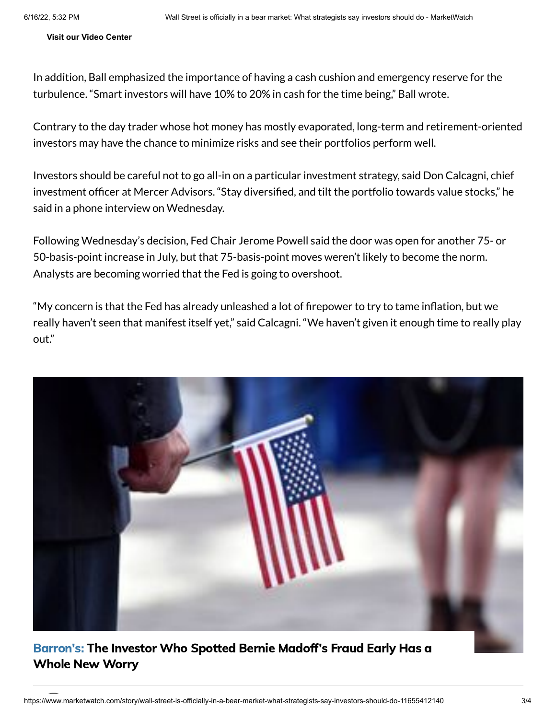**[Visit our Video Center](https://www.marketwatch.com/video)**

In addition, Ball emphasized the importance of having a cash cushion and emergency reserve for the turbulence. "Smart investors will have 10% to 20% in cash for the time being," Ball wrote.

Contrary to the day trader whose hot money has mostly evaporated, long-term and retirement-oriented investors may have the chance to minimize risks and see their portfolios perform well.

Investors should be careful not to go all-in on a particular investment strategy, said Don Calcagni, chief investment officer at Mercer Advisors. "Stay diversified, and tilt the portfolio towards value stocks," he said in a phone interview on Wednesday.

Following Wednesday's decision, Fed Chair Jerome Powell said the door was open for another 75- or 50-basis-point increase in July, but that 75-basis-point moves weren't likely to become the norm. Analysts are becoming worried that the Fed is going to overshoot.

"My concern is that the Fed has already unleashed a lot of firepower to try to tame inflation, but we really haven't seen that manifest itself yet," said Calcagni. "We haven't given it enough time to really play out."



### [Barron's:](https://www.marketwatch.com/articles/stock-market-investing-american-society-51655236579?mod=mw_more_headlines) The Investor Who Spotted Bernie Madoff's Fraud Early Has a Whole New Worry